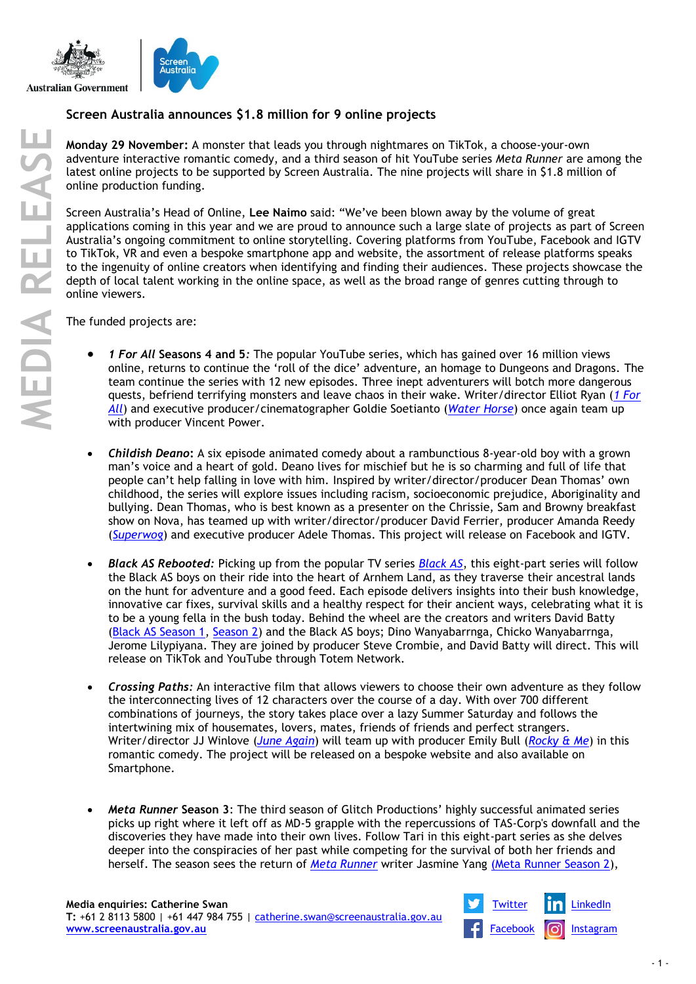

## **Screen Australia announces \$1.8 million for 9 online projects**

**Monday 29 November:** A monster that leads you through nightmares on TikTok, a choose-your-own adventure interactive romantic comedy, and a third season of hit YouTube series *Meta Runner* are among the latest online projects to be supported by Screen Australia. The nine projects will share in \$1.8 million of online production funding.

Screen Australia's Head of Online, **Lee Naimo** said: "We've been blown away by the volume of great applications coming in this year and we are proud to announce such a large slate of projects as part of Screen Australia's ongoing commitment to online storytelling. Covering platforms from YouTube, Facebook and IGTV to TikTok, VR and even a bespoke smartphone app and website, the assortment of release platforms speaks to the ingenuity of online creators when identifying and finding their audiences. These projects showcase the depth of local talent working in the online space, as well as the broad range of genres cutting through to online viewers.

The funded projects are:

- *1 For All* **Seasons 4 and 5***:* The popular YouTube series, which has gained over 16 million views online, returns to continue the 'roll of the dice' adventure, an homage to Dungeons and Dragons. The team continue the series with 12 new episodes. Three inept adventurers will botch more dangerous quests, befriend terrifying monsters and leave chaos in their wake. Writer/director Elliot Ryan (*[1 For](https://www.screenaustralia.gov.au/the-screen-guide/t/1-for-all-2021/38998)  [All](https://www.screenaustralia.gov.au/the-screen-guide/t/1-for-all-2021/38998)*) and executive producer/cinematographer Goldie Soetianto (*[Water Horse](https://www.screenaustralia.gov.au/the-screen-guide/t/water-horse-2020/38913)*) once again team up with producer Vincent Power.
- *Childish Deano***:** A six episode animated comedy about a rambunctious 8-year-old boy with a grown man's voice and a heart of gold. Deano lives for mischief but he is so charming and full of life that people can't help falling in love with him. Inspired by writer/director/producer Dean Thomas' own childhood, the series will explore issues including racism, socioeconomic prejudice, Aboriginality and bullying. Dean Thomas, who is best known as a presenter on the Chrissie, Sam and Browny breakfast show on Nova, has teamed up with writer/director/producer David Ferrier, producer Amanda Reedy (*[Superwog](https://www.screenaustralia.gov.au/the-screen-guide/t/superwog-series-1-2018/36877)*) and executive producer Adele Thomas. This project will release on Facebook and IGTV.
- *Black AS Rebooted:* Picking up from the popular TV series *[Black A](https://www.screenaustralia.gov.au/the-screen-guide/t/black-as-series/36757)S*, this eight-part series will follow the Black AS boys on their ride into the heart of Arnhem Land, as they traverse their ancestral lands on the hunt for adventure and a good feed. Each episode delivers insights into their bush knowledge, innovative car fixes, survival skills and a healthy respect for their ancient ways, celebrating what it is to be a young fella in the bush today. Behind the wheel are the creators and writers David Batty [\(Black AS Season 1,](https://www.screenaustralia.gov.au/the-screen-guide/p/david-batty/1248?stxt=david%20batty) [Season 2\)](https://www.screenaustralia.gov.au/the-screen-guide/t/black-as-series-2---were-back-2018/36411) and the Black AS boys; Dino Wanyabarrnga, Chicko Wanyabarrnga, Jerome Lilypiyana. They are joined by producer Steve Crombie, and David Batty will direct. This will release on TikTok and YouTube through Totem Network.
- *Crossing Paths:* An interactive film that allows viewers to choose their own adventure as they follow the interconnecting lives of 12 characters over the course of a day. With over 700 different combinations of journeys, the story takes place over a lazy Summer Saturday and follows the intertwining mix of housemates, lovers, mates, friends of friends and perfect strangers. Writer/director JJ Winlove (*[June Again](https://www.screenaustralia.gov.au/the-screen-guide/t/june-again-2019/37852)*) will team up with producer Emily Bull (*[Rocky & Me](https://www.screenaustralia.gov.au/the-screen-guide/t/rocky---me-2019/38131)*) in this romantic comedy. The project will be released on a bespoke website and also available on Smartphone.
- *Meta Runner* **Season 3**: The third season of Glitch Productions' highly successful animated series picks up right where it left off as MD-5 grapple with the repercussions of TAS-Corp's downfall and the discoveries they have made into their own lives. Follow Tari in this eight-part series as she delves deeper into the conspiracies of her past while competing for the survival of both her friends and herself. The season sees the return of *[Meta Runner](https://www.screenaustralia.gov.au/the-screen-guide/t/meta-runner-series-2-2021/38700)* writer Jasmine Yang [\(Meta Runner Season 2\)](https://www.screenaustralia.gov.au/the-screen-guide/t/meta-runner-series-2-2021/38700),